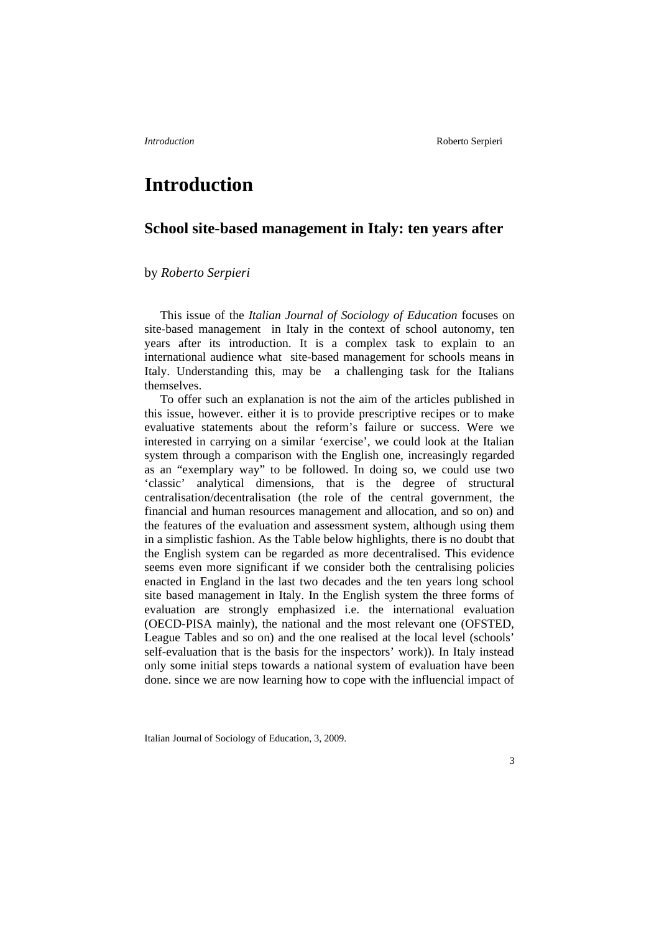# **Introduction**

# **School site-based management in Italy: ten years after**

## by *Roberto Serpieri*

This issue of the *Italian Journal of Sociology of Education* focuses on site-based management in Italy in the context of school autonomy, ten years after its introduction. It is a complex task to explain to an international audience what site-based management for schools means in Italy. Understanding this, may be a challenging task for the Italians themselves.

To offer such an explanation is not the aim of the articles published in this issue, however. either it is to provide prescriptive recipes or to make evaluative statements about the reform's failure or success. Were we interested in carrying on a similar 'exercise', we could look at the Italian system through a comparison with the English one, increasingly regarded as an "exemplary way" to be followed. In doing so, we could use two 'classic' analytical dimensions, that is the degree of structural centralisation/decentralisation (the role of the central government, the financial and human resources management and allocation, and so on) and the features of the evaluation and assessment system, although using them in a simplistic fashion. As the Table below highlights, there is no doubt that the English system can be regarded as more decentralised. This evidence seems even more significant if we consider both the centralising policies enacted in England in the last two decades and the ten years long school site based management in Italy. In the English system the three forms of evaluation are strongly emphasized i.e. the international evaluation (OECD-PISA mainly), the national and the most relevant one (OFSTED, League Tables and so on) and the one realised at the local level (schools' self-evaluation that is the basis for the inspectors' work)). In Italy instead only some initial steps towards a national system of evaluation have been done. since we are now learning how to cope with the influencial impact of

Italian Journal of Sociology of Education, 3, 2009.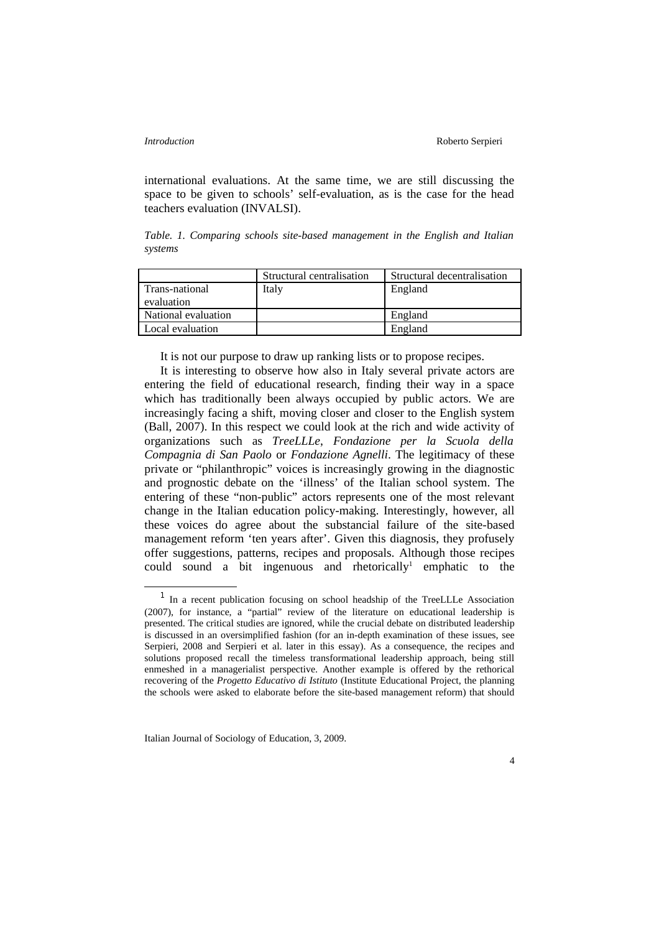international evaluations. At the same time, we are still discussing the space to be given to schools' self-evaluation, as is the case for the head teachers evaluation (INVALSI).

*Table. 1. Comparing schools site-based management in the English and Italian systems*

|                     | Structural centralisation | Structural decentralisation |
|---------------------|---------------------------|-----------------------------|
| Trans-national      | Italy                     | England                     |
| evaluation          |                           |                             |
| National evaluation |                           | England                     |
| Local evaluation    |                           | England                     |

It is not our purpose to draw up ranking lists or to propose recipes.

It is interesting to observe how also in Italy several private actors are entering the field of educational research, finding their way in a space which has traditionally been always occupied by public actors. We are increasingly facing a shift, moving closer and closer to the English system (Ball, 2007). In this respect we could look at the rich and wide activity of organizations such as *TreeLLLe*, *Fondazione per la Scuola della Compagnia di San Paolo* or *Fondazione Agnelli*. The legitimacy of these private or "philanthropic" voices is increasingly growing in the diagnostic and prognostic debate on the 'illness' of the Italian school system. The entering of these "non-public" actors represents one of the most relevant change in the Italian education policy-making. Interestingly, however, all these voices do agree about the substancial failure of the site-based management reform 'ten years after'. Given this diagnosis, they profusely offer suggestions, patterns, recipes and proposals. Although those recipes could sound a bit ingenuous and rhetorically<sup>[1](#page-1-0)</sup> emphatic to the

<span id="page-1-0"></span><sup>&</sup>lt;sup>1</sup> In a recent publication focusing on school headship of the TreeLLLe Association (2007), for instance, a "partial" review of the literature on educational leadership is presented. The critical studies are ignored, while the crucial debate on distributed leadership is discussed in an oversimplified fashion (for an in-depth examination of these issues, see Serpieri, 2008 and Serpieri et al. later in this essay). As a consequence, the recipes and solutions proposed recall the timeless transformational leadership approach, being still enmeshed in a managerialist perspective. Another example is offered by the rethorical recovering of the *Progetto Educativo di Istituto* (Institute Educational Project, the planning the schools were asked to elaborate before the site-based management reform) that should

Italian Journal of Sociology of Education, 3, 2009.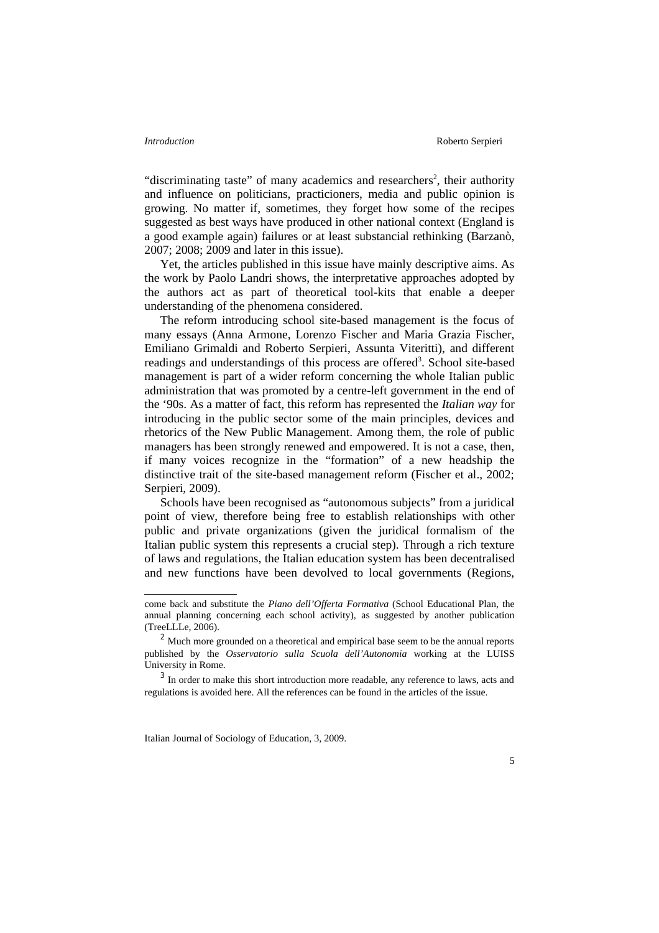"discriminating taste" of many academics and researchers<sup>[2](#page-2-0)</sup>, their authority and influence on politicians, practicioners, media and public opinion is growing. No matter if, sometimes, they forget how some of the recipes suggested as best ways have produced in other national context (England is a good example again) failures or at least substancial rethinking (Barzanò, 2007; 2008; 2009 and later in this issue).

Yet, the articles published in this issue have mainly descriptive aims. As the work by Paolo Landri shows, the interpretative approaches adopted by the authors act as part of theoretical tool-kits that enable a deeper understanding of the phenomena considered.

The reform introducing school site-based management is the focus of many essays (Anna Armone, Lorenzo Fischer and Maria Grazia Fischer, Emiliano Grimaldi and Roberto Serpieri, Assunta Viteritti), and different readings and understandings of this process are offered<sup>[3](#page-2-1)</sup>. School site-based management is part of a wider reform concerning the whole Italian public administration that was promoted by a centre-left government in the end of the '90s. As a matter of fact, this reform has represented the *Italian way* for introducing in the public sector some of the main principles, devices and rhetorics of the New Public Management. Among them, the role of public managers has been strongly renewed and empowered. It is not a case, then, if many voices recognize in the "formation" of a new headship the distinctive trait of the site-based management reform (Fischer et al., 2002; Serpieri, 2009).

Schools have been recognised as "autonomous subjects" from a juridical point of view, therefore being free to establish relationships with other public and private organizations (given the juridical formalism of the Italian public system this represents a crucial step). Through a rich texture of laws and regulations, the Italian education system has been decentralised and new functions have been devolved to local governments (Regions,

come back and substitute the *Piano dell'Offerta Formativa* (School Educational Plan, the annual planning concerning each school activity), as suggested by another publication (TreeLLLe, 2006).

<span id="page-2-0"></span> $2$  Much more grounded on a theoretical and empirical base seem to be the annual reports published by the *Osservatorio sulla Scuola dell'Autonomia* working at the LUISS University in Rome.

<span id="page-2-1"></span><sup>&</sup>lt;sup>3</sup> In order to make this short introduction more readable, any reference to laws, acts and regulations is avoided here. All the references can be found in the articles of the issue.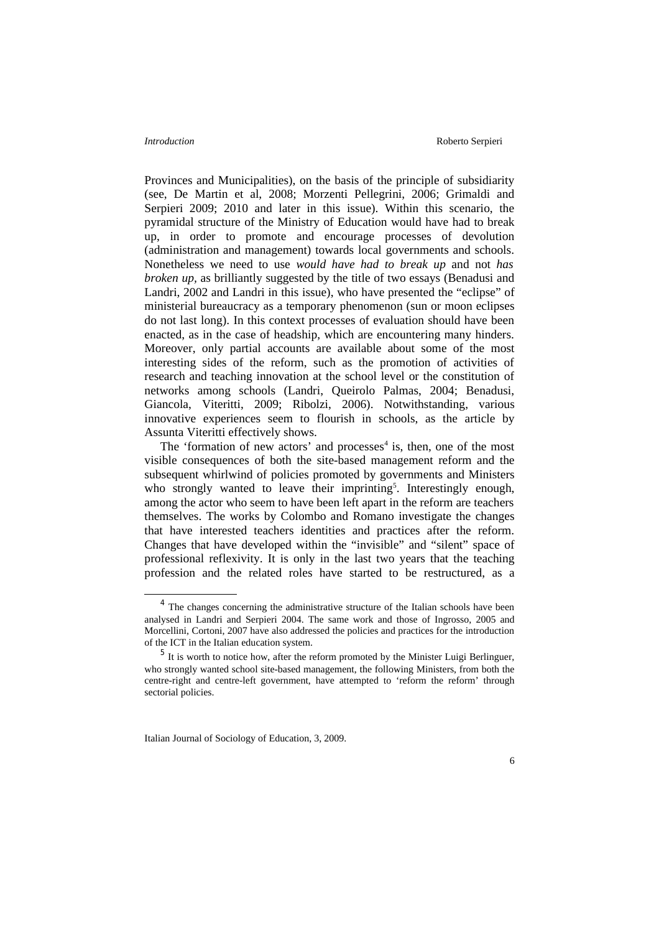Provinces and Municipalities), on the basis of the principle of subsidiarity (see, De Martin et al, 2008; Morzenti Pellegrini, 2006; Grimaldi and Serpieri 2009; 2010 and later in this issue). Within this scenario, the pyramidal structure of the Ministry of Education would have had to break up, in order to promote and encourage processes of devolution (administration and management) towards local governments and schools. Nonetheless we need to use *would have had to break up* and not *has broken up,* as brilliantly suggested by the title of two essays (Benadusi and Landri, 2002 and Landri in this issue), who have presented the "eclipse" of ministerial bureaucracy as a temporary phenomenon (sun or moon eclipses do not last long). In this context processes of evaluation should have been enacted, as in the case of headship, which are encountering many hinders. Moreover, only partial accounts are available about some of the most interesting sides of the reform, such as the promotion of activities of research and teaching innovation at the school level or the constitution of networks among schools (Landri, Queirolo Palmas, 2004; Benadusi, Giancola, Viteritti, 2009; Ribolzi, 2006). Notwithstanding, various innovative experiences seem to flourish in schools, as the article by Assunta Viteritti effectively shows.

The 'formation of new actors' and processes<sup>[4](#page-3-0)</sup> is, then, one of the most visible consequences of both the site-based management reform and the subsequent whirlwind of policies promoted by governments and Ministers who strongly wanted to leave their imprinting<sup>[5](#page-3-1)</sup>. Interestingly enough, among the actor who seem to have been left apart in the reform are teachers themselves. The works by Colombo and Romano investigate the changes that have interested teachers identities and practices after the reform. Changes that have developed within the "invisible" and "silent" space of professional reflexivity. It is only in the last two years that the teaching profession and the related roles have started to be restructured, as a

<span id="page-3-0"></span><sup>&</sup>lt;sup>4</sup> The changes concerning the administrative structure of the Italian schools have been analysed in Landri and Serpieri 2004. The same work and those of Ingrosso, 2005 and Morcellini, Cortoni, 2007 have also addressed the policies and practices for the introduction of the ICT in the Italian education system.

<span id="page-3-1"></span><sup>&</sup>lt;sup>5</sup> It is worth to notice how, after the reform promoted by the Minister Luigi Berlinguer, who strongly wanted school site-based management, the following Ministers, from both the centre-right and centre-left government, have attempted to 'reform the reform' through sectorial policies.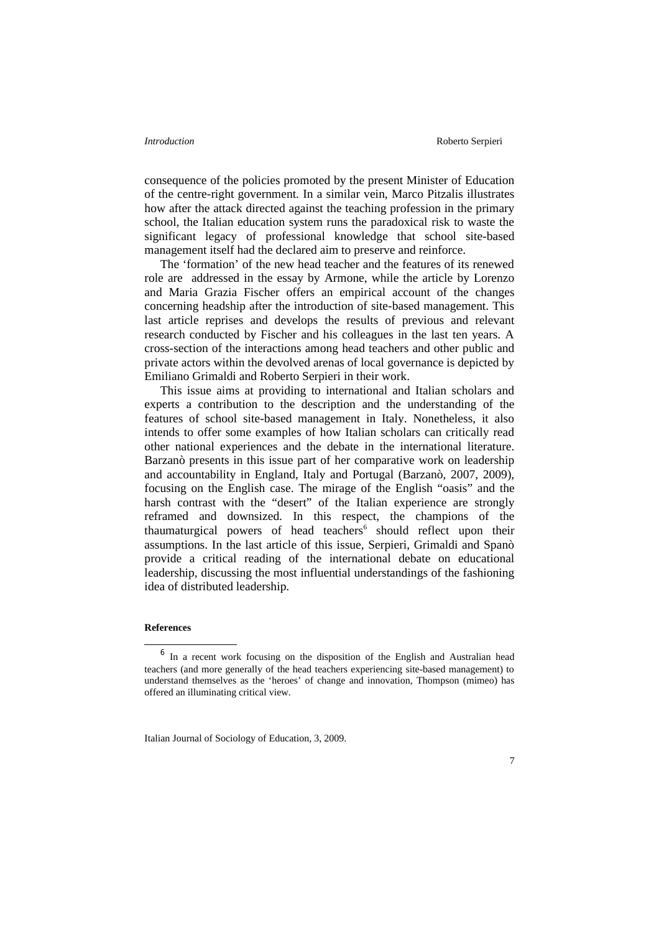### *Introduction* Roberto Serpieri

consequence of the policies promoted by the present Minister of Education of the centre-right government. In a similar vein, Marco Pitzalis illustrates how after the attack directed against the teaching profession in the primary school, the Italian education system runs the paradoxical risk to waste the significant legacy of professional knowledge that school site-based management itself had the declared aim to preserve and reinforce.

The 'formation' of the new head teacher and the features of its renewed role are addressed in the essay by Armone, while the article by Lorenzo and Maria Grazia Fischer offers an empirical account of the changes concerning headship after the introduction of site-based management. This last article reprises and develops the results of previous and relevant research conducted by Fischer and his colleagues in the last ten years. A cross-section of the interactions among head teachers and other public and private actors within the devolved arenas of local governance is depicted by Emiliano Grimaldi and Roberto Serpieri in their work.

This issue aims at providing to international and Italian scholars and experts a contribution to the description and the understanding of the features of school site-based management in Italy. Nonetheless, it also intends to offer some examples of how Italian scholars can critically read other national experiences and the debate in the international literature. Barzanò presents in this issue part of her comparative work on leadership and accountability in England, Italy and Portugal (Barzanò, 2007, 2009), focusing on the English case. The mirage of the English "oasis" and the harsh contrast with the "desert" of the Italian experience are strongly reframed and downsized. In this respect, the champions of the thaumaturgical powers of head teachers<sup>[6](#page-4-0)</sup> should reflect upon their assumptions. In the last article of this issue, Serpieri, Grimaldi and Spanò provide a critical reading of the international debate on educational leadership, discussing the most influential understandings of the fashioning idea of distributed leadership.

### **References**

<span id="page-4-0"></span><sup>&</sup>lt;sup>6</sup> In a recent work focusing on the disposition of the English and Australian head teachers (and more generally of the head teachers experiencing site-based management) to understand themselves as the 'heroes' of change and innovation, Thompson (mimeo) has offered an illuminating critical view.

Italian Journal of Sociology of Education, 3, 2009.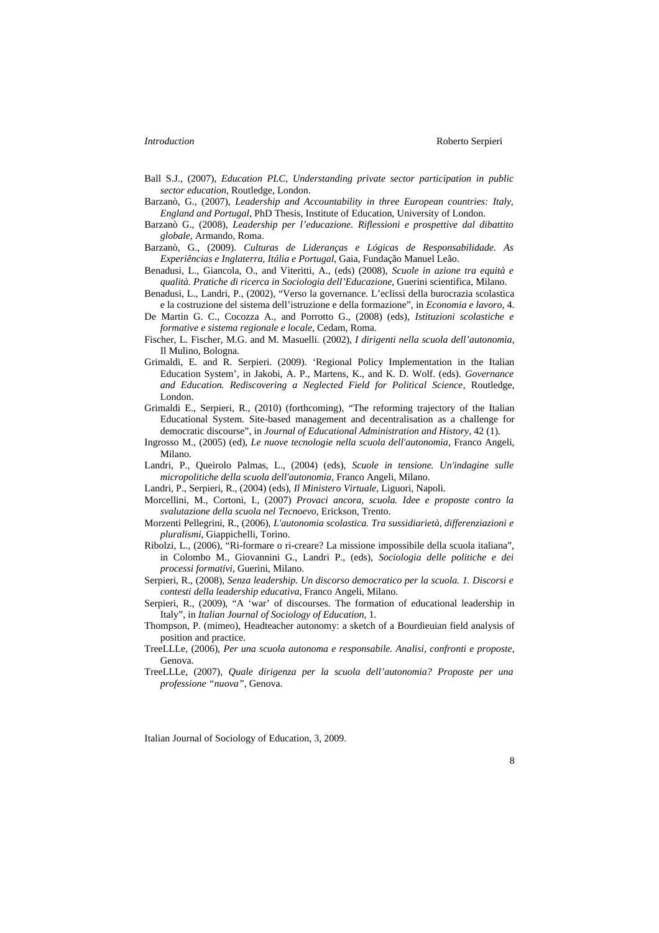- 
- Ball S.J., (2007), *Education PLC, Understanding private sector participation in public sector education*, Routledge, London.
- Barzanò, G., (2007), *Leadership and Accountability in three European countries: Italy, England and Portugal*, PhD Thesis, Institute of Education, University of London.
- Barzanò G., (2008), *Leadership per l'educazione. Riflessioni e prospettive dal dibattito globale*, Armando, Roma.
- Barzanò, G., (2009). *Culturas de Lideranças e Lógicas de Responsabilidade. As Experiências e Inglaterra, Itália e Portugal*, Gaia, Fundação Manuel Leão.
- Benadusi, L., Giancola, O., and Viteritti, A., (eds) (2008), *Scuole in azione tra equità e qualità. Pratiche di ricerca in Sociologia dell'Educazione*, Guerini scientifica, Milano.
- Benadusi, L., Landri, P., (2002), "Verso la governance. L'eclissi della burocrazia scolastica e la costruzione del sistema dell'istruzione e della formazione", in *Economia e lavoro*, 4.
- De Martin G. C., Cocozza A., and Porrotto G., (2008) (eds), *Istituzioni scolastiche e formative e sistema regionale e locale*, Cedam, Roma.
- Fischer, L. Fischer, M.G. and M. Masuelli. (2002), *I dirigenti nella scuola dell'autonomia*, Il Mulino, Bologna.
- Grimaldi, E. and R. Serpieri. (2009). 'Regional Policy Implementation in the Italian Education System', in Jakobi, A. P., Martens, K., and K. D. Wolf. (eds). *Governance and Education. Rediscovering a Neglected Field for Political Science*, Routledge, London.
- Grimaldi E., Serpieri, R., (2010) (forthcoming), "The reforming trajectory of the Italian Educational System. Site-based management and decentralisation as a challenge for democratic discourse", in *Journal of Educational Administration and History*, 42 (1).
- Ingrosso M., (2005) (ed), *Le nuove tecnologie nella scuola dell'autonomia*, Franco Angeli, Milano.
- Landri, P., Queirolo Palmas, L., (2004) (eds), *Scuole in tensione. Un'indagine sulle micropolitiche della scuola dell'autonomia*, Franco Angeli, Milano.
- Landri, P., Serpieri, R., (2004) (eds), *Il Ministero Virtuale*, Liguori, Napoli.
- Morcellini, M., Cortoni, I., (2007) *Provaci ancora, scuola. Idee e proposte contro la svalutazione della scuola nel Tecnoevo*, Erickson, Trento.
- Morzenti Pellegrini, R., (2006), *L'autonomia scolastica. Tra sussidiarietà, differenziazioni e pluralismi*, Giappichelli, Torino.
- Ribolzi, L., (2006), "Ri-formare o ri-creare? La missione impossibile della scuola italiana", in Colombo M., Giovannini G., Landri P., (eds), *Sociologia delle politiche e dei processi formativi*, Guerini, Milano.
- Serpieri, R., (2008), *Senza leadership. Un discorso democratico per la scuola. 1. Discorsi e contesti della leadership educativa*, Franco Angeli, Milano.
- Serpieri, R., (2009), "A 'war' of discourses. The formation of educational leadership in Italy", in *Italian Journal of Sociology of Education*, 1.
- Thompson, P. (mimeo), Headteacher autonomy: a sketch of a Bourdieuian field analysis of position and practice.
- TreeLLLe, (2006), *Per una scuola autonoma e responsabile. Analisi, confronti e proposte*, Genova.
- TreeLLLe, (2007), *Quale dirigenza per la scuola dell'autonomia? Proposte per una professione "nuova"*, Genova.